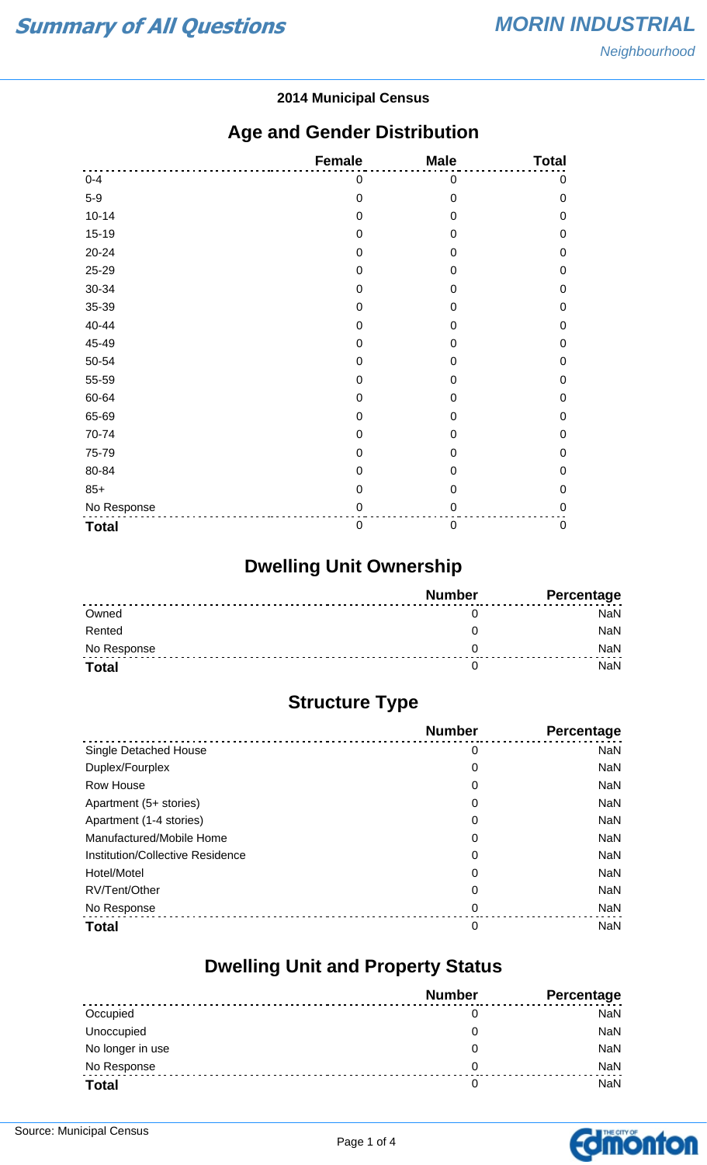#### **2014 Municipal Census**

#### **Age and Gender Distribution**

|              | <b>Female</b> | <b>Male</b>      | <b>Total</b> |
|--------------|---------------|------------------|--------------|
| $0 - 4$      | 0             | $\mathbf 0$      | $\mathbf 0$  |
| $5-9$        | $\mathbf 0$   | $\mathbf 0$      | $\mathbf 0$  |
| $10 - 14$    | $\mathbf 0$   | $\mathbf 0$      | $\mathbf 0$  |
| $15-19$      | 0             | 0                | $\mathbf 0$  |
| 20-24        | $\mathbf 0$   | 0                | $\mathbf 0$  |
| 25-29        | 0             | $\mathbf 0$      | $\mathbf 0$  |
| 30-34        | 0             | $\overline{0}$   | $\mathbf 0$  |
| 35-39        | $\mathbf 0$   | 0                | $\mathbf 0$  |
| 40-44        | 0             | 0                | $\mathbf 0$  |
| 45-49        | 0             | 0                | $\mathbf 0$  |
| 50-54        | $\mathbf 0$   | $\mathbf 0$      | $\mathbf 0$  |
| 55-59        | $\mathbf 0$   | $\mathbf 0$      | $\mathbf 0$  |
| 60-64        | 0             | 0                | $\mathbf 0$  |
| 65-69        | $\mathbf 0$   | 0                | $\mathbf 0$  |
| 70-74        | 0             | $\mathbf 0$      | $\mathbf 0$  |
| 75-79        | 0             | $\overline{0}$   | $\mathbf 0$  |
| 80-84        | 0             | 0                | $\mathbf 0$  |
| $85+$        | $\mathbf 0$   | $\mathbf 0$      | $\mathbf 0$  |
| No Response  | 0             | 0                | $\mathbf 0$  |
| <b>Total</b> | $\mathbf 0$   | $\boldsymbol{0}$ | $\pmb{0}$    |

## **Dwelling Unit Ownership**

|              | <b>Number</b> | Percentage |
|--------------|---------------|------------|
| Owned        |               | NaN        |
| Rented       |               | NaN        |
| No Response  |               | <b>NaN</b> |
| <b>Total</b> |               | NaN        |

## **Structure Type**

|                                  | <b>Number</b> | <b>Percentage</b> |
|----------------------------------|---------------|-------------------|
| Single Detached House            | 0             | <b>NaN</b>        |
| Duplex/Fourplex                  | 0             | <b>NaN</b>        |
| <b>Row House</b>                 | 0             | <b>NaN</b>        |
| Apartment (5+ stories)           | 0             | <b>NaN</b>        |
| Apartment (1-4 stories)          | 0             | <b>NaN</b>        |
| Manufactured/Mobile Home         | 0             | <b>NaN</b>        |
| Institution/Collective Residence | 0             | <b>NaN</b>        |
| Hotel/Motel                      | 0             | <b>NaN</b>        |
| RV/Tent/Other                    | 0             | <b>NaN</b>        |
| No Response                      | 0             | <b>NaN</b>        |
| <b>Total</b>                     | 0             | <b>NaN</b>        |

#### **Dwelling Unit and Property Status**

|                  | <b>Number</b> | <b>Percentage</b> |
|------------------|---------------|-------------------|
| Occupied         |               | NaN               |
| Unoccupied       | O             | <b>NaN</b>        |
| No longer in use | O             | <b>NaN</b>        |
| No Response      | 0             | <b>NaN</b>        |
| <b>Total</b>     | 0             | <b>NaN</b>        |

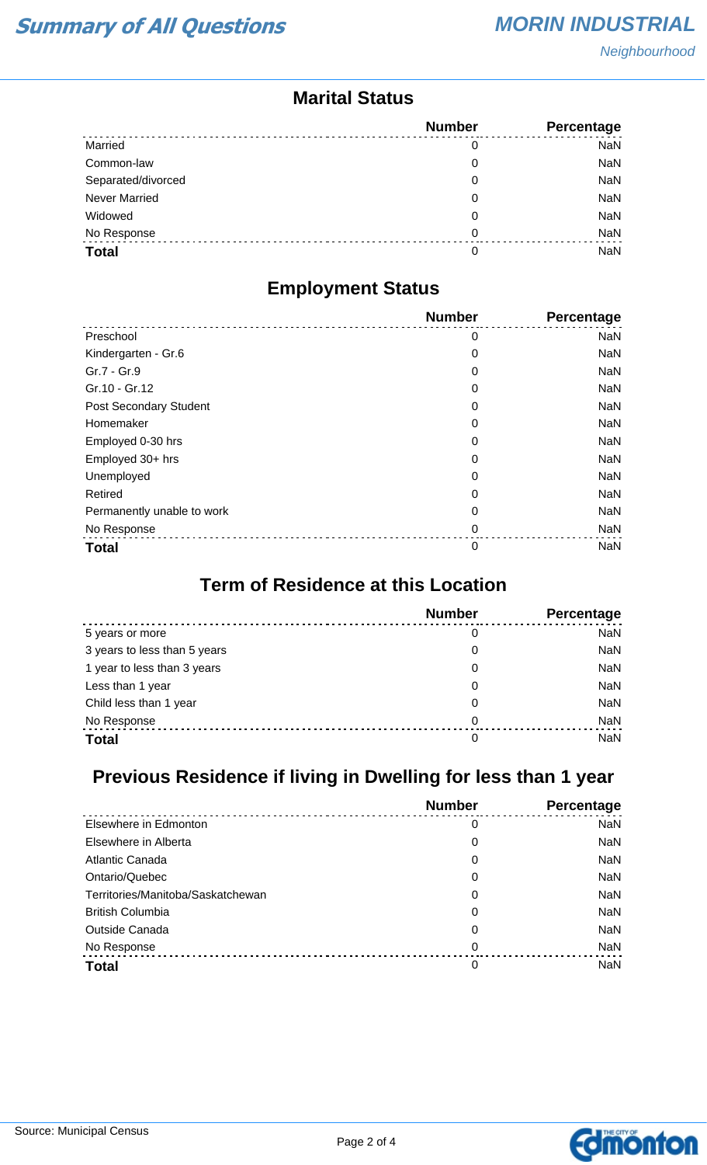#### **Marital Status**

|                      | <b>Number</b> | Percentage |
|----------------------|---------------|------------|
| Married              | 0             | <b>NaN</b> |
| Common-law           | 0             | NaN        |
| Separated/divorced   | 0             | <b>NaN</b> |
| <b>Never Married</b> | 0             | <b>NaN</b> |
| Widowed              | 0             | <b>NaN</b> |
| No Response          | 0             | NaN        |
| <b>Total</b>         | 0             | <b>NaN</b> |

#### **Employment Status**

|                            | <b>Number</b> | <b>Percentage</b> |
|----------------------------|---------------|-------------------|
| Preschool                  | 0             | <b>NaN</b>        |
| Kindergarten - Gr.6        | 0             | <b>NaN</b>        |
| Gr.7 - Gr.9                | 0             | <b>NaN</b>        |
| Gr.10 - Gr.12              | 0             | <b>NaN</b>        |
| Post Secondary Student     | 0             | <b>NaN</b>        |
| Homemaker                  | 0             | <b>NaN</b>        |
| Employed 0-30 hrs          | 0             | <b>NaN</b>        |
| Employed 30+ hrs           | 0             | <b>NaN</b>        |
| Unemployed                 | 0             | <b>NaN</b>        |
| Retired                    | 0             | <b>NaN</b>        |
| Permanently unable to work | 0             | <b>NaN</b>        |
| No Response                | 0             | <b>NaN</b>        |
| <b>Total</b>               | 0             | <b>NaN</b>        |

## **Term of Residence at this Location**

|                              | <b>Number</b> | Percentage |
|------------------------------|---------------|------------|
| 5 years or more              | 0             | <b>NaN</b> |
| 3 years to less than 5 years | 0             | <b>NaN</b> |
| 1 year to less than 3 years  | 0             | <b>NaN</b> |
| Less than 1 year             | 0             | <b>NaN</b> |
| Child less than 1 year       | 0             | <b>NaN</b> |
| No Response                  | 0             | <b>NaN</b> |
| <b>Total</b>                 | 0             | <b>NaN</b> |

## **Previous Residence if living in Dwelling for less than 1 year**

|                                   | <b>Number</b> | Percentage |
|-----------------------------------|---------------|------------|
| Elsewhere in Edmonton             | 0             | <b>NaN</b> |
| Elsewhere in Alberta              | 0             | NaN        |
| Atlantic Canada                   | 0             | <b>NaN</b> |
| Ontario/Quebec                    | 0             | NaN        |
| Territories/Manitoba/Saskatchewan | 0             | NaN        |
| <b>British Columbia</b>           | 0             | NaN        |
| <b>Outside Canada</b>             | 0             | <b>NaN</b> |
| No Response                       | 0             | <b>NaN</b> |
| <b>Total</b>                      | 0             | <b>NaN</b> |

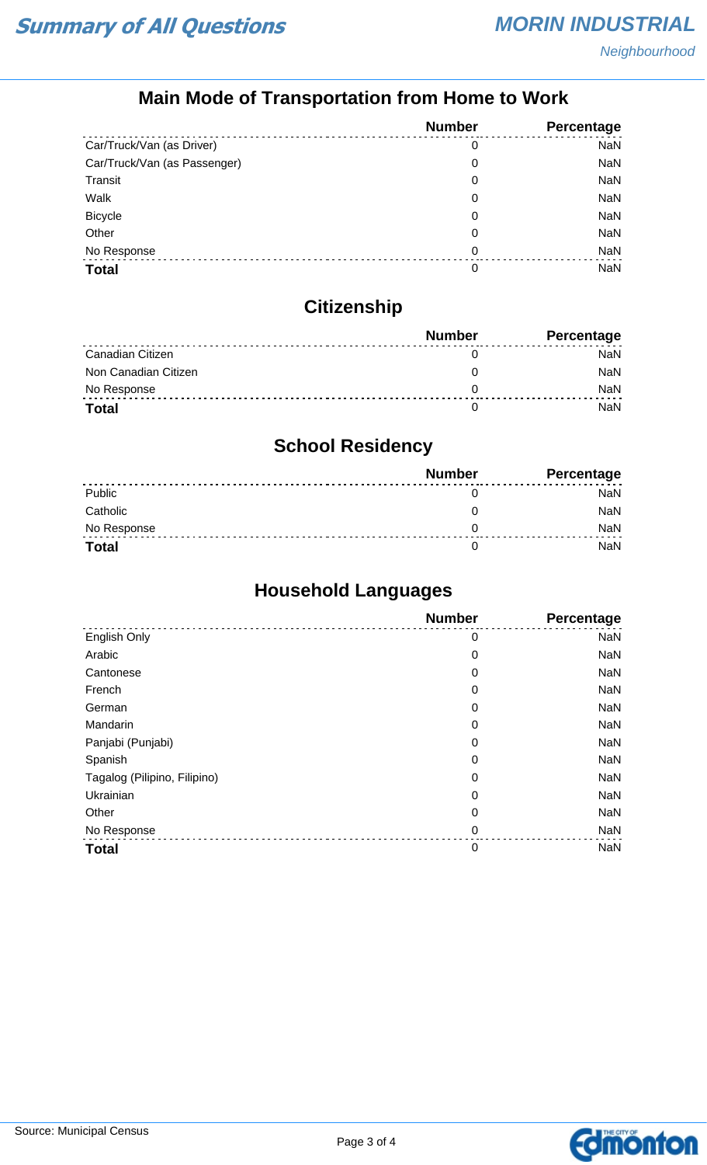## **Main Mode of Transportation from Home to Work**

|                              | <b>Number</b> | Percentage |
|------------------------------|---------------|------------|
| Car/Truck/Van (as Driver)    | 0             | <b>NaN</b> |
| Car/Truck/Van (as Passenger) | 0             | NaN        |
| Transit                      | 0             | NaN        |
| Walk                         | 0             | NaN        |
| <b>Bicycle</b>               | 0             | NaN        |
| Other                        | 0             | NaN        |
| No Response                  | 0             | NaN        |
| <b>Total</b>                 | 0             | <b>NaN</b> |

## **Citizenship**

|                      | <b>Number</b> | <b>Percentage</b> |
|----------------------|---------------|-------------------|
| Canadian Citizen     |               | NaN               |
| Non Canadian Citizen |               | <b>NaN</b>        |
| No Response          |               | <b>NaN</b>        |
| <b>Total</b>         |               | NaN               |

## **School Residency**

|              | <b>Number</b> | <b>Percentage</b> |
|--------------|---------------|-------------------|
| Public       |               | NaN               |
| Catholic     |               | NaN               |
| No Response  |               | <b>NaN</b>        |
| <b>Total</b> |               | NaN               |

## **Household Languages**

|                              | <b>Number</b> | Percentage |
|------------------------------|---------------|------------|
| English Only                 | 0             | <b>NaN</b> |
| Arabic                       | 0             | <b>NaN</b> |
| Cantonese                    | 0             | <b>NaN</b> |
| French                       | 0             | <b>NaN</b> |
| German                       | 0             | <b>NaN</b> |
| Mandarin                     | 0             | <b>NaN</b> |
| Panjabi (Punjabi)            | 0             | <b>NaN</b> |
| Spanish                      | 0             | <b>NaN</b> |
| Tagalog (Pilipino, Filipino) | 0             | <b>NaN</b> |
| Ukrainian                    | 0             | <b>NaN</b> |
| Other                        | 0             | <b>NaN</b> |
| No Response                  | $\mathbf 0$   | <b>NaN</b> |
| <b>Total</b>                 | $\mathbf 0$   | <b>NaN</b> |